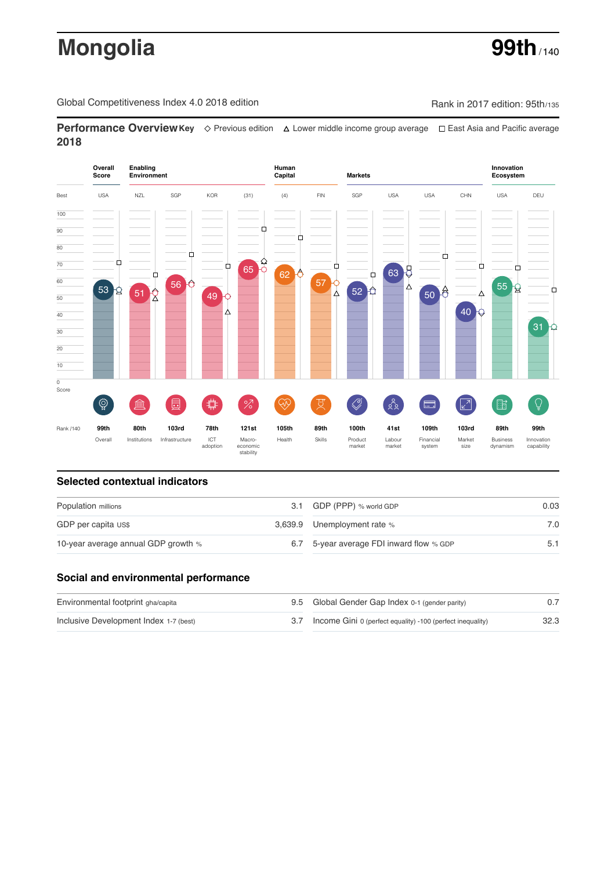# **Mongolia 99th**

Global Competitiveness Index 4.0 2018 edition Company Rank in 2017 edition: 95th/135

**Performance OverviewKey** Previous edition Lower middle income group average East Asia and Pacific average **2018**



## **Selected contextual indicators**

| Population millions                 |  | 3.1 GDP (PPP) % world GDP                | 0.03 |  |
|-------------------------------------|--|------------------------------------------|------|--|
| GDP per capita US\$                 |  | 3,639.9 Unemployment rate %              | 7.0  |  |
| 10-year average annual GDP growth % |  | 6.7 5-year average FDI inward flow % GDP |      |  |

## **Social and environmental performance**

| Environmental footprint gha/capita     | 9.5 Global Gender Gap Index 0-1 (gender parity)                |      |
|----------------------------------------|----------------------------------------------------------------|------|
| Inclusive Development Index 1-7 (best) | 3.7 Income Gini 0 (perfect equality) -100 (perfect inequality) | 32.3 |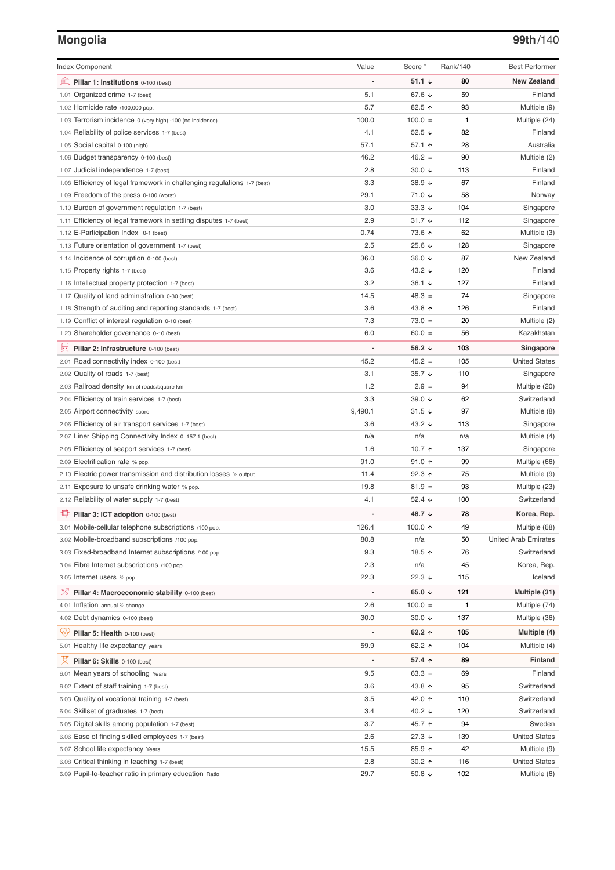## **Mongolia 99th**/140

| <b>Index Component</b>                                                             | Value                    | Score *            | Rank/140     | <b>Best Performer</b>                |
|------------------------------------------------------------------------------------|--------------------------|--------------------|--------------|--------------------------------------|
| 寙<br>Pillar 1: Institutions 0-100 (best)                                           |                          | 51.1 $\sqrt{ }$    | 80           | <b>New Zealand</b>                   |
| Organized crime 1-7 (best)<br>1.01                                                 | 5.1                      | 67.6 ↓             | 59           | Finland                              |
| 1.02 Homicide rate /100,000 pop.                                                   | 5.7                      | 82.5 ↑             | 93           | Multiple (9)                         |
| 1.03 Terrorism incidence 0 (very high) -100 (no incidence)                         | 100.0                    | $100.0 =$          | $\mathbf{1}$ | Multiple (24)                        |
| 1.04 Reliability of police services 1-7 (best)                                     | 4.1                      | 52.5 $\sqrt{ }$    | 82           | Finland                              |
| 1.05 Social capital 0-100 (high)                                                   | 57.1                     | 57.1 ↑             | 28           | Australia                            |
| 1.06 Budget transparency 0-100 (best)                                              | 46.2                     | $46.2 =$           | 90           | Multiple (2)                         |
| 1.07 Judicial independence 1-7 (best)                                              | 2.8                      | 30.0 $\sqrt{ }$    | 113          | Finland                              |
| 1.08 Efficiency of legal framework in challenging regulations 1-7 (best)           | 3.3                      | 38.9 ↓             | 67           | Finland                              |
| 1.09 Freedom of the press 0-100 (worst)                                            | 29.1                     | 71.0 ↓             | 58           | Norway                               |
| 1.10 Burden of government regulation 1-7 (best)                                    | 3.0                      | $33.3 +$           | 104          | Singapore                            |
| 1.11 Efficiency of legal framework in settling disputes 1-7 (best)                 | 2.9                      | $31.7 +$           | 112          | Singapore                            |
| 1.12 E-Participation Index 0-1 (best)                                              | 0.74                     | 73.6 个             | 62           | Multiple (3)                         |
| 1.13 Future orientation of government 1-7 (best)                                   | 2.5                      | 25.6 $\sqrt{ }$    | 128          | Singapore                            |
| 1.14 Incidence of corruption 0-100 (best)                                          | 36.0                     | 36.0 $\sqrt{ }$    | 87           | New Zealand                          |
| 1.15 Property rights 1-7 (best)                                                    | 3.6                      | 43.2 $\sqrt{ }$    | 120          | Finland                              |
| 1.16 Intellectual property protection 1-7 (best)                                   | 3.2                      | 36.1 $\sqrt{ }$    | 127          | Finland                              |
| 1.17 Quality of land administration 0-30 (best)                                    | 14.5                     | $48.3 =$           | 74           | Singapore                            |
| 1.18 Strength of auditing and reporting standards 1-7 (best)                       | 3.6                      | 43.8 ↑             | 126          | Finland                              |
| 1.19 Conflict of interest regulation 0-10 (best)                                   | 7.3                      | $73.0 =$           | 20           | Multiple (2)                         |
| 1.20 Shareholder governance 0-10 (best)                                            | 6.0                      | $60.0 =$           | 56           | Kazakhstan                           |
| 曼<br>Pillar 2: Infrastructure 0-100 (best)                                         | $\overline{\phantom{a}}$ | 56.2 $\sqrt{ }$    | 103          | Singapore                            |
| 2.01 Road connectivity index 0-100 (best)                                          | 45.2                     | $45.2 =$           | 105          | <b>United States</b>                 |
| 2.02 Quality of roads 1-7 (best)                                                   | 3.1                      | $35.7 +$           | 110          | Singapore                            |
| 2.03 Railroad density km of roads/square km                                        | 1.2                      | $2.9 =$            | 94           | Multiple (20)                        |
| 2.04 Efficiency of train services 1-7 (best)                                       | 3.3                      | 39.0 $\sqrt{ }$    | 62           | Switzerland                          |
| 2.05 Airport connectivity score                                                    | 9,490.1                  | $31.5 +$           | 97           | Multiple (8)                         |
| 2.06 Efficiency of air transport services 1-7 (best)                               | 3.6                      | 43.2 $\sqrt{ }$    | 113          | Singapore                            |
| 2.07 Liner Shipping Connectivity Index 0-157.1 (best)                              | n/a                      | n/a                | n/a          | Multiple (4)                         |
| 2.08 Efficiency of seaport services 1-7 (best)                                     | 1.6                      | 10.7 $\uparrow$    | 137          | Singapore                            |
| 2.09 Electrification rate % pop.                                                   | 91.0                     | 91.0 $\uparrow$    | 99           | Multiple (66)                        |
| 2.10 Electric power transmission and distribution losses % output                  | 11.4                     | $92.3$ ↑           | 75           | Multiple (9)                         |
| 2.11 Exposure to unsafe drinking water % pop.                                      | 19.8                     | $81.9 =$           | 93           | Multiple (23)                        |
| 2.12 Reliability of water supply 1-7 (best)                                        | 4.1                      | 52.4 $\sqrt{ }$    | 100          | Switzerland                          |
| Pillar 3: ICT adoption 0-100 (best)                                                |                          | 48.7 ↓             | 78           | Korea, Rep.                          |
| 3.01 Mobile-cellular telephone subscriptions /100 pop.                             | 126.4                    | 100.0 $\uparrow$   | 49           | Multiple (68)                        |
| 3.02 Mobile-broadband subscriptions /100 pop.                                      | 80.8                     | n/a                | 50           | <b>United Arab Emirates</b>          |
| 3.03 Fixed-broadband Internet subscriptions /100 pop.                              | 9.3                      | 18.5 个             | 76           | Switzerland                          |
| 3.04 Fibre Internet subscriptions /100 pop.                                        | 2.3                      | n/a                | 45           | Korea, Rep.                          |
| 3.05 Internet users % pop.                                                         | 22.3                     | $22.3 +$           | 115          | Iceland                              |
| $\frac{1}{6}$<br>Pillar 4: Macroeconomic stability 0-100 (best)                    | $\overline{a}$           | 65.0 $\sqrt{ }$    | 121          | Multiple (31)                        |
| 4.01 Inflation annual % change                                                     | 2.6                      | $100.0 =$          | 1            | Multiple (74)                        |
| 4.02 Debt dynamics 0-100 (best)                                                    | 30.0                     | $30.0 \; \text{V}$ | 137          | Multiple (36)                        |
| Qÿ<br>Pillar 5: Health 0-100 (best)                                                | $\overline{a}$           | 62.2 $\uparrow$    | 105          | Multiple (4)                         |
| 5.01 Healthy life expectancy years                                                 | 59.9                     | 62.2 ↑             | 104          | Multiple (4)                         |
|                                                                                    | $\overline{a}$           |                    |              |                                      |
| 섯<br>Pillar 6: Skills 0-100 (best)                                                 |                          | 57.4 $\uparrow$    | 89           | <b>Finland</b>                       |
| 6.01 Mean years of schooling Years                                                 | 9.5                      | $63.3 =$           | 69           | Finland                              |
| 6.02 Extent of staff training 1-7 (best)                                           | 3.6                      | 43.8 个             | 95           | Switzerland                          |
| 6.03 Quality of vocational training 1-7 (best)                                     | 3.5                      | 42.0 ↑             | 110          | Switzerland                          |
| 6.04 Skillset of graduates 1-7 (best)                                              | 3.4                      | 40.2 $\sqrt{ }$    | 120          | Switzerland                          |
| 6.05 Digital skills among population 1-7 (best)                                    | 3.7                      | 45.7 ↑             | 94           | Sweden                               |
| 6.06 Ease of finding skilled employees 1-7 (best)                                  | 2.6                      | 27.3 ↓             | 139          | <b>United States</b>                 |
| 6.07 School life expectancy Years<br>6.08 Critical thinking in teaching 1-7 (best) | 15.5<br>2.8              | 85.9 个<br>$30.2$ 1 | 42<br>116    | Multiple (9)<br><b>United States</b> |
| 6.09 Pupil-to-teacher ratio in primary education Ratio                             | 29.7                     | 50.8 $\sqrt{ }$    | 102          | Multiple (6)                         |
|                                                                                    |                          |                    |              |                                      |